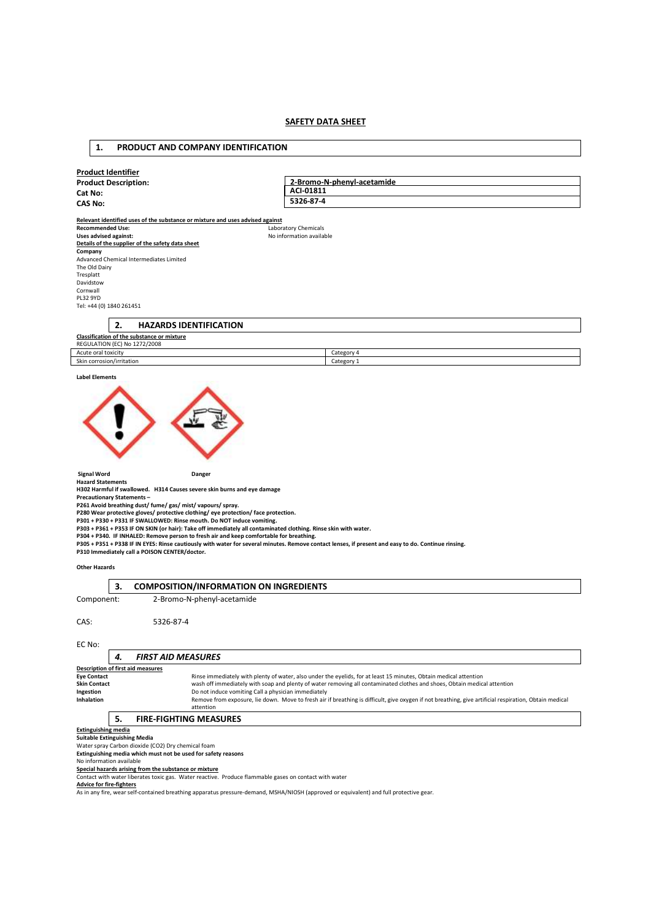# **SAFETY DATA SHEET**

# **Product Identifier Product Description: Cat No: CAS No: Relevant identified uses of the substance or mixture and uses advised against Recommended Use:** Laboratory Chemicals<br> **Uses advised against:** No information availal **Uses advised against:** No information available **Details of the supplier of the safety data sheet Company**  Advanced Chemical Intermediates Limited The Old Dairy Tresplatt Davidstow Cornwall PL32 9YD Tel: +44 (0) 1840 261451 **2. HAZARDS IDENTIFICATION Classification of the substance or mixture**  REGULATION (EC) No 1272/2008 Acute oral toxicity Category 4 Skin corrosion/irritation Category 1 **2-Bromo-N-phenyl-acetamide ACI-01811 5326-87-4**

# **Label Elements**



**Signal Word Communist Communist Communist Communist Communist Communist Communist Communist Communist Communist Communist Communist Communist Communist Communist Communist Communist Communist Communist Communist Communist** 

**Hazard Statements H302 Harmful if swallowed. H314 Causes severe skin burns and eye damage** 

**Precautionary Statements –** 

**1. PRODUCT AND COMPANY IDENTIFICATION** 

P261 Avoid breathing dust/ fume/ gas/ mist/ vapours/ spray.<br>P280 Wear protective gloves/ protective clothing/ eye protection/ face protection.<br>P301 + P330 + P331 IF SWALLOWED: Rinse mouth. Do NOT induce vomiting.<br>P303 + P3

**P305 + P351 + P338 IF IN EYES: Rinse cautiously with water for several minutes. Remove contact lenses, if present and easy to do. Continue rinsing. P310 Immediately call a POISON CENTER/doctor.** 

# **Other Hazards**

|                                                    | 3. | <b>COMPOSITION/INFORMATION ON INGREDIENTS</b>                                                                                                                       |  |  |  |  |
|----------------------------------------------------|----|---------------------------------------------------------------------------------------------------------------------------------------------------------------------|--|--|--|--|
| Component:                                         |    | 2-Bromo-N-phenyl-acetamide                                                                                                                                          |  |  |  |  |
| CAS:                                               |    | 5326-87-4                                                                                                                                                           |  |  |  |  |
| EC No:                                             |    |                                                                                                                                                                     |  |  |  |  |
|                                                    | 4. | <b>FIRST AID MEASURES</b>                                                                                                                                           |  |  |  |  |
|                                                    |    | <b>Description of first aid measures</b>                                                                                                                            |  |  |  |  |
| <b>Eye Contact</b>                                 |    | Rinse immediately with plenty of water, also under the eyelids, for at least 15 minutes, Obtain medical attention                                                   |  |  |  |  |
| <b>Skin Contact</b>                                |    | wash off immediately with soap and plenty of water removing all contaminated clothes and shoes, Obtain medical attention                                            |  |  |  |  |
| Ingestion                                          |    | Do not induce vomiting Call a physician immediately                                                                                                                 |  |  |  |  |
| Inhalation                                         |    | Remove from exposure, lie down. Move to fresh air if breathing is difficult, give oxygen if not breathing, give artificial respiration, Obtain medical<br>attention |  |  |  |  |
|                                                    | 5. | <b>FIRE-FIGHTING MEASURES</b>                                                                                                                                       |  |  |  |  |
| <b>Extinguishing media</b>                         |    |                                                                                                                                                                     |  |  |  |  |
| <b>Suitable Extinguishing Media</b>                |    |                                                                                                                                                                     |  |  |  |  |
| Water spray Carbon dioxide (CO2) Dry chemical foam |    |                                                                                                                                                                     |  |  |  |  |

**Extinguishing media which must not be used for safety reasons** 

No information available

**Special hazards arising from the substance or mixture** 

Contact with water liberates toxic gas. Water reactive. Produce flammable gases on contact with water

**Advice for fire-fighters** 

As in any fire, wear self-contained breathing apparatus pressure-demand, MSHA/NIOSH (approved or equivalent) and full protective gear.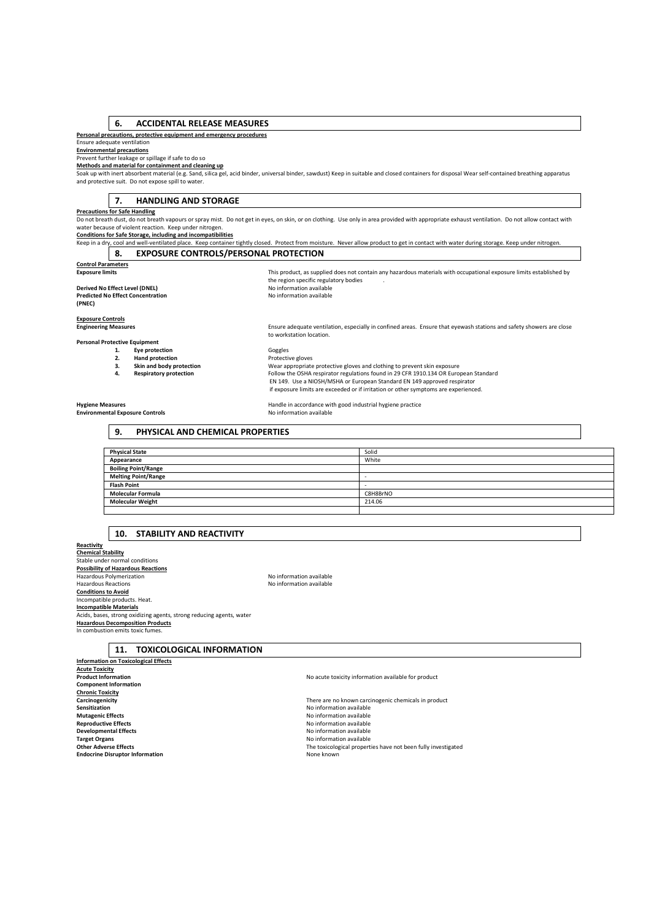# **6. ACCIDENTAL RELEASE MEASURES**

#### **Personal precautions, protective equipment and emergency procedures**

# Ensure adequate ventilation

**Environmental precautions** 

#### Prevent further leakage or spillage if safe to do so **Methods and material for containment and cleaning up**

Soak up with inert absorbent material (e.g. Sand, silica gel, acid binder, universal binder, sawdust) Keep in suitable and closed containers for disposal Wear self-contained breathing apparatus<br>and protective suit. Do not

#### **7. HANDLING AND STORAGE**

# **Precautions for Safe Handling**

Do not breath dust, do not breath vapours or spray mist. Do not get in eyes, on skin, or on clothing. Use only in area provided with appropriate exhaust ventilation. Do not allow contact with<br>water because of violent react

**Conditions for Safe Storage, including and incompatibilities** 

Keep in a dry, cool and well-ventilated place. Keep container tightly closed. Protect from moisture. Never allow product to get in contact with water during storage. Keep under nitrogen **8. EXPOSURE CONTROLS/PERSONAL PROTECTION** 

# **Control Parameters**

**Derived No Effect Level (DNEL) Predicted No Effect Concentration (PNEC)** 

**Exposure limits** This product, as supplied does not contain any hazardous materials with occupational exposure limits established by the region specific regulatory bodies<br>No information available

# **Exposure Controls**

# Engineering Measures **Ensure adequate ventilation**, especially in confined areas. Ensure that eyewash stations and safety showers are close<br>to workstation location.

#### **Personal Protective Equipment**

**2. Hand protection**<br>**2.** Skin and body protection

**1. Eye protection 1. Eye protection**<br> **2. Hand protection Exercise Protective gloves**<br> **1. Skin and body protection 1. Wear appropriate 3. Skin and body protection** Wear appropriate protective gloves and clothing to prevent skin exposure Follow the OSHA respirator regulations found in 29 CFR 1910.134 OR European Standard EN 149. Use a NIOSH/MSHA or European Standard EN 149 approved respirator if exposure limits are exceeded or if irritation or other symptoms are experienced.

#### **Environmental Exposure Controls**

**Hygiene Measures**<br> **Handle in accordance with good industrial hygiene practice**<br> **Handle in accordance with good industrial hygiene practice**<br> **No information available** 

# **9. PHYSICAL AND CHEMICAL PROPERTIES**

| <b>Physical State</b>      | Solid    |
|----------------------------|----------|
| Appearance                 | White    |
| <b>Boiling Point/Range</b> |          |
| <b>Melting Point/Range</b> | $-$      |
| <b>Flash Point</b>         | ۰        |
| <b>Molecular Formula</b>   | C8H8BrNO |
| <b>Molecular Weight</b>    | 214.06   |
|                            |          |

# **10. STABILITY AND REACTIVITY**

**Reactivity Chemical Stability**  Stable under normal conditions **Possibility of Hazardous Reactions**  Hazardous Polymerization **No information** No information available Hazardous Reactions No information available **Conditions to Avoid**  Incompatible products. Heat. **Incompatible Materials**  Acids, bases, strong oxidizing agents, strong reducing agents, water **Hazardous Decomposition Products**  In combustion emits toxic fumes.

# **11. TOXICOLOGICAL INFORMATION**

**Information on Toxicological Effects Acute Toxicity Component Information Chronic Toxicity Sensitization**<br> **Sensitization**<br> **Sensitization**<br> **Mutagenic Effects**<br> **Mutagenic Effects** 

**Reproductive Effects**<br> **Reproductive Effects**<br> **Reproductive Effects**<br> **Reproductive Effects**<br> **Reproductive Effects Developmental Effects**<br> **Constanting and Constanting Constanting and Constanting Activities are available**<br>
No information available **Target Organs Target Organs No information available**<br> **Chiner Adverse Ffects Endocrine Disruptor Information** 

No acute toxicity information available for product

**Carcinogenicity Carcinogenicity Carcinogenicity Carcinogenic chemicals in product Carcinogenic chemicals in product Carcinogenic chemicals in product Carcinogenic chemicals in product Carcinogenic chemicals Mutagenic Effects Mutagenic Effects No information available No information available Reproductive Effects** The toxicological properties have not been fully investigated<br>None known